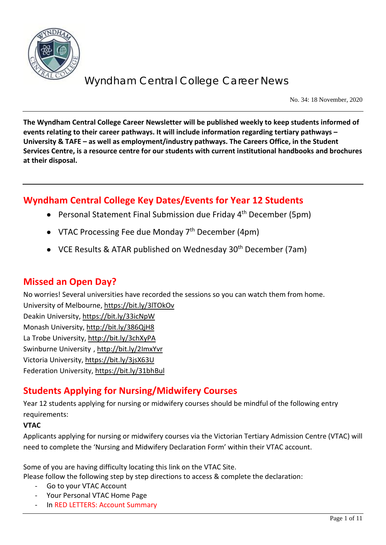

No. 34: 18 November, 2020

**The Wyndham Central College Career Newsletter will be published weekly to keep students informed of events relating to their career pathways. It will include information regarding tertiary pathways – University & TAFE – as well as employment/industry pathways. The Careers Office, in the Student Services Centre, is a resource centre for our students with current institutional handbooks and brochures at their disposal.**

## **Wyndham Central College Key Dates/Events for Year 12 Students**

- Personal Statement Final Submission due Friday 4<sup>th</sup> December (5pm)
- VTAC Processing Fee due Monday  $7<sup>th</sup>$  December (4pm)
- VCE Results & ATAR published on Wednesday 30<sup>th</sup> December (7am)

### **Missed an Open Day?**

No worries! Several universities have recorded the sessions so you can watch them from home.

University of Melbourne[, https://bit.ly/3lTOkOv](https://bit.ly/3lTOkOv) Deakin University,<https://bit.ly/33icNpW> Monash University,<http://bit.ly/386QjH8> La Trobe University,<http://bit.ly/3chXyPA> Swinburne University ,<http://bit.ly/2ImxYvr> Victoria University,<https://bit.ly/3jsX63U> Federation University[, https://bit.ly/31bhBul](https://bit.ly/31bhBul)

## **Students Applying for Nursing/Midwifery Courses**

Year 12 students applying for nursing or midwifery courses should be mindful of the following entry requirements:

#### **VTAC**

Applicants applying for nursing or midwifery courses via the Victorian Tertiary Admission Centre (VTAC) will need to complete the 'Nursing and Midwifery Declaration Form' within their VTAC account.

Some of you are having difficulty locating this link on the VTAC Site.

Please follow the following step by step directions to access & complete the declaration:

- Go to your VTAC Account
- Your Personal VTAC Home Page
- In RED LETTERS: Account Summary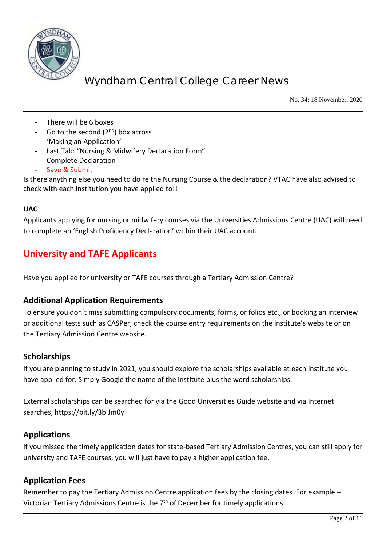

No. 34: 18 November, 2020

- There will be 6 boxes
- Go to the second  $(2^{nd})$  box across
- 'Making an Application'
- Last Tab: "Nursing & Midwifery Declaration Form"
- Complete Declaration
- Save & Submit

Is there anything else you need to do re the Nursing Course & the declaration? VTAC have also advised to check with each institution you have applied to!!

#### **UAC**

Applicants applying for nursing or midwifery courses via the Universities Admissions Centre (UAC) will need to complete an 'English Proficiency Declaration' within their UAC account.

### **University and TAFE Applicants**

Have you applied for university or TAFE courses through a Tertiary Admission Centre?

#### **Additional Application Requirements**

To ensure you don't miss submitting compulsory documents, forms, or folios etc., or booking an interview or additional tests such as CASPer, check the course entry requirements on the institute's website or on the Tertiary Admission Centre website.

#### **Scholarships**

If you are planning to study in 2021, you should explore the scholarships available at each institute you have applied for. Simply Google the name of the institute plus the word scholarships.

External scholarships can be searched for via the Good Universities Guide website and via Internet searches,<https://bit.ly/3bIJm0y>

#### **Applications**

If you missed the timely application dates for state-based Tertiary Admission Centres, you can still apply for university and TAFE courses, you will just have to pay a higher application fee.

#### **Application Fees**

Remember to pay the Tertiary Admission Centre application fees by the closing dates. For example – Victorian Tertiary Admissions Centre is the 7<sup>th</sup> of December for timely applications.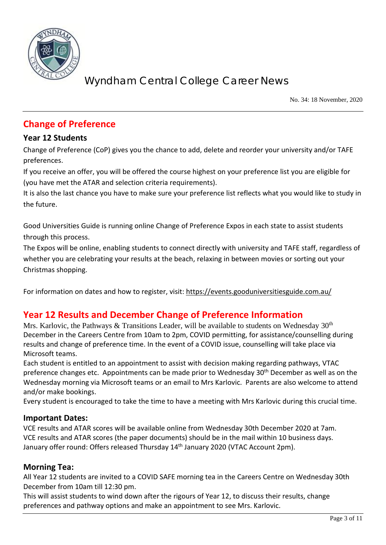

No. 34: 18 November, 2020

## **Change of Preference**

#### **Year 12 Students**

Change of Preference (CoP) gives you the chance to add, delete and reorder your university and/or TAFE preferences.

If you receive an offer, you will be offered the course highest on your preference list you are eligible for (you have met the ATAR and selection criteria requirements).

It is also the last chance you have to make sure your preference list reflects what you would like to study in the future.

Good Universities Guide is running online Change of Preference Expos in each state to assist students through this process.

The Expos will be online, enabling students to connect directly with university and TAFE staff, regardless of whether you are celebrating your results at the beach, relaxing in between movies or sorting out your Christmas shopping.

For information on dates and how to register, visit: <https://events.gooduniversitiesguide.com.au/>

### **Year 12 Results and December Change of Preference Information**

Mrs. Karlovic, the Pathways & Transitions Leader, will be available to students on Wednesday  $30<sup>th</sup>$ December in the Careers Centre from 10am to 2pm, COVID permitting, for assistance/counselling during results and change of preference time. In the event of a COVID issue, counselling will take place via Microsoft teams.

Each student is entitled to an appointment to assist with decision making regarding pathways, VTAC preference changes etc. Appointments can be made prior to Wednesday 30<sup>th</sup> December as well as on the Wednesday morning via Microsoft teams or an email to Mrs Karlovic. Parents are also welcome to attend and/or make bookings.

Every student is encouraged to take the time to have a meeting with Mrs Karlovic during this crucial time.

#### **Important Dates:**

VCE results and ATAR scores will be available online from Wednesday 30th December 2020 at 7am. VCE results and ATAR scores (the paper documents) should be in the mail within 10 business days. January offer round: Offers released Thursday 14<sup>th</sup> January 2020 (VTAC Account 2pm).

#### **Morning Tea:**

All Year 12 students are invited to a COVID SAFE morning tea in the Careers Centre on Wednesday 30th December from 10am till 12:30 pm.

This will assist students to wind down after the rigours of Year 12, to discuss their results, change preferences and pathway options and make an appointment to see Mrs. Karlovic.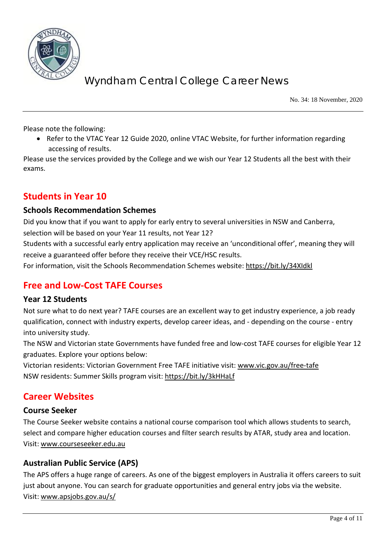

No. 34: 18 November, 2020

Please note the following:

• Refer to the VTAC Year 12 Guide 2020, online VTAC Website, for further information regarding accessing of results.

Please use the services provided by the College and we wish our Year 12 Students all the best with their exams.

### **Students in Year 10**

#### **Schools Recommendation Schemes**

Did you know that if you want to apply for early entry to several universities in NSW and Canberra, selection will be based on your Year 11 results, not Year 12?

Students with a successful early entry application may receive an 'unconditional offer', meaning they will receive a guaranteed offer before they receive their VCE/HSC results.

For information, visit the Schools Recommendation Schemes website:<https://bit.ly/34XIdkl>

### **Free and Low-Cost TAFE Courses**

#### **Year 12 Students**

Not sure what to do next year? TAFE courses are an excellent way to get industry experience, a job ready qualification, connect with industry experts, develop career ideas, and - depending on the course - entry into university study.

The NSW and Victorian state Governments have funded free and low-cost TAFE courses for eligible Year 12 graduates. Explore your options below:

Victorian residents: Victorian Government Free TAFE initiative visit: [www.vic.gov.au/free-tafe](http://www.vic.gov.au/free-tafe) NSW residents: Summer Skills program visit:<https://bit.ly/3kHHaLf>

### **Career Websites**

#### **Course Seeker**

The Course Seeker website contains a national course comparison tool which allows students to search, select and compare higher education courses and filter search results by ATAR, study area and location. Visit: [www.courseseeker.edu.au](http://www.courseseeker.edu.au/)

#### **Australian Public Service (APS)**

The APS offers a huge range of careers. As one of the biggest employers in Australia it offers careers to suit just about anyone. You can search for graduate opportunities and general entry jobs via the website. Visit: [www.apsjobs.gov.au/s/](http://www.apsjobs.gov.au/s/)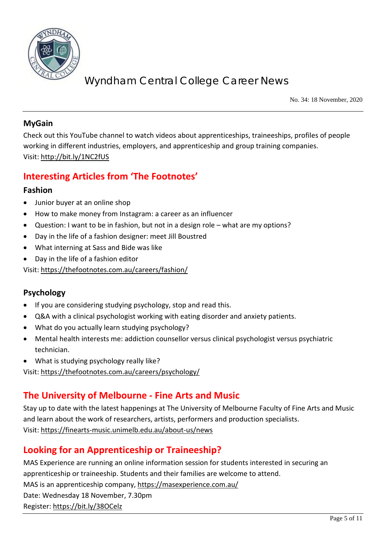

No. 34: 18 November, 2020

#### **MyGain**

Check out this YouTube channel to watch videos about apprenticeships, traineeships, profiles of people working in different industries, employers, and apprenticeship and group training companies. Visit:<http://bit.ly/1NC2fUS>

## **Interesting Articles from 'The Footnotes'**

#### **Fashion**

- Junior buyer at an online shop
- How to make money from Instagram: a career as an influencer
- Question: I want to be in fashion, but not in a design role what are my options?
- Day in the life of a fashion designer: meet Jill Boustred
- What interning at Sass and Bide was like
- Day in the life of a fashion editor

Visit:<https://thefootnotes.com.au/careers/fashion/>

#### **Psychology**

- If you are considering studying psychology, stop and read this.
- Q&A with a clinical psychologist working with eating disorder and anxiety patients.
- What do you actually learn studying psychology?
- Mental health interests me: addiction counsellor versus clinical psychologist versus psychiatric technician.
- What is studying psychology really like?

Visit:<https://thefootnotes.com.au/careers/psychology/>

### **The University of Melbourne - Fine Arts and Music**

Stay up to date with the latest happenings at The University of Melbourne Faculty of Fine Arts and Music and learn about the work of researchers, artists, performers and production specialists. Visit:<https://finearts-music.unimelb.edu.au/about-us/news>

## **Looking for an Apprenticeship or Traineeship?**

MAS Experience are running an online information session for students interested in securing an apprenticeship or traineeship. Students and their families are welcome to attend. MAS is an apprenticeship company,<https://masexperience.com.au/> Date: Wednesday 18 November, 7.30pm Register[: https://bit.ly/38OCelz](https://bit.ly/38OCelz)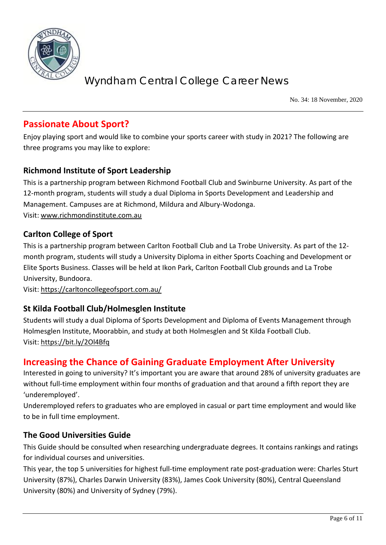

No. 34: 18 November, 2020

### **Passionate About Sport?**

Enjoy playing sport and would like to combine your sports career with study in 2021? The following are three programs you may like to explore:

#### **Richmond Institute of Sport Leadership**

This is a partnership program between Richmond Football Club and Swinburne University. As part of the 12-month program, students will study a dual Diploma in Sports Development and Leadership and Management. Campuses are at Richmond, Mildura and Albury-Wodonga. Visit: [www.richmondinstitute.com.au](http://www.richmondinstitute.com.au/)

#### **Carlton College of Sport**

This is a partnership program between Carlton Football Club and La Trobe University. As part of the 12 month program, students will study a University Diploma in either Sports Coaching and Development or Elite Sports Business. Classes will be held at Ikon Park, Carlton Football Club grounds and La Trobe University, Bundoora.

Visit:<https://carltoncollegeofsport.com.au/>

#### **St Kilda Football Club/Holmesglen Institute**

Students will study a dual Diploma of Sports Development and Diploma of Events Management through Holmesglen Institute, Moorabbin, and study at both Holmesglen and St Kilda Football Club. Visit:<https://bit.ly/2Ol4Bfq>

#### **Increasing the Chance of Gaining Graduate Employment After University**

Interested in going to university? It's important you are aware that around 28% of university graduates are without full-time employment within four months of graduation and that around a fifth report they are 'underemployed'.

Underemployed refers to graduates who are employed in casual or part time employment and would like to be in full time employment.

#### **The Good Universities Guide**

This Guide should be consulted when researching undergraduate degrees. It contains rankings and ratings for individual courses and universities.

This year, the top 5 universities for highest full-time employment rate post-graduation were: Charles Sturt University (87%), Charles Darwin University (83%), James Cook University (80%), Central Queensland University (80%) and University of Sydney (79%).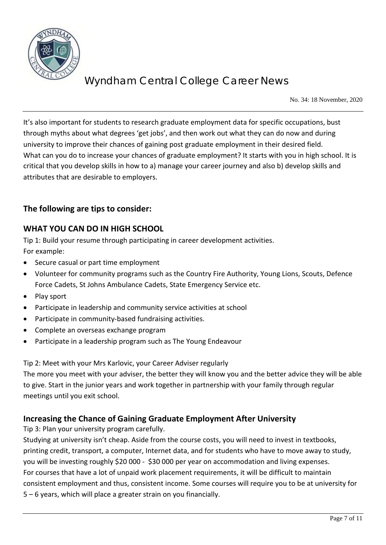

No. 34: 18 November, 2020

It's also important for students to research graduate employment data for specific occupations, bust through myths about what degrees 'get jobs', and then work out what they can do now and during university to improve their chances of gaining post graduate employment in their desired field. What can you do to increase your chances of graduate employment? It starts with you in high school. It is critical that you develop skills in how to a) manage your career journey and also b) develop skills and attributes that are desirable to employers.

#### **The following are tips to consider:**

#### **WHAT YOU CAN DO IN HIGH SCHOOL**

Tip 1: Build your resume through participating in career development activities. For example:

- Secure casual or part time employment
- Volunteer for community programs such as the Country Fire Authority, Young Lions, Scouts, Defence Force Cadets, St Johns Ambulance Cadets, State Emergency Service etc.
- Play sport
- Participate in leadership and community service activities at school
- Participate in community-based fundraising activities.
- Complete an overseas exchange program
- Participate in a leadership program such as The Young Endeavour

Tip 2: Meet with your Mrs Karlovic, your Career Adviser regularly

The more you meet with your adviser, the better they will know you and the better advice they will be able to give. Start in the junior years and work together in partnership with your family through regular meetings until you exit school.

#### **Increasing the Chance of Gaining Graduate Employment After University**

Tip 3: Plan your university program carefully.

Studying at university isn't cheap. Aside from the course costs, you will need to invest in textbooks, printing credit, transport, a computer, Internet data, and for students who have to move away to study, you will be investing roughly \$20 000 - \$30 000 per year on accommodation and living expenses. For courses that have a lot of unpaid work placement requirements, it will be difficult to maintain consistent employment and thus, consistent income. Some courses will require you to be at university for 5 – 6 years, which will place a greater strain on you financially.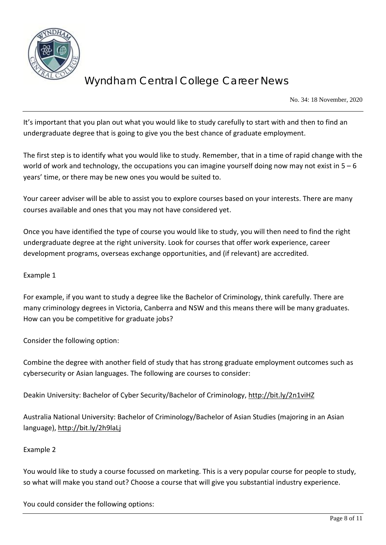

No. 34: 18 November, 2020

It's important that you plan out what you would like to study carefully to start with and then to find an undergraduate degree that is going to give you the best chance of graduate employment.

The first step is to identify what you would like to study. Remember, that in a time of rapid change with the world of work and technology, the occupations you can imagine yourself doing now may not exist in  $5 - 6$ years' time, or there may be new ones you would be suited to.

Your career adviser will be able to assist you to explore courses based on your interests. There are many courses available and ones that you may not have considered yet.

Once you have identified the type of course you would like to study, you will then need to find the right undergraduate degree at the right university. Look for courses that offer work experience, career development programs, overseas exchange opportunities, and (if relevant) are accredited.

#### Example 1

For example, if you want to study a degree like the Bachelor of Criminology, think carefully. There are many criminology degrees in Victoria, Canberra and NSW and this means there will be many graduates. How can you be competitive for graduate jobs?

Consider the following option:

Combine the degree with another field of study that has strong graduate employment outcomes such as cybersecurity or Asian languages. The following are courses to consider:

Deakin University: Bachelor of Cyber Security/Bachelor of Criminology,<http://bit.ly/2n1viHZ>

Australia National University: Bachelor of Criminology/Bachelor of Asian Studies (majoring in an Asian language),<http://bit.ly/2h9laLj>

#### Example 2

You would like to study a course focussed on marketing. This is a very popular course for people to study, so what will make you stand out? Choose a course that will give you substantial industry experience.

You could consider the following options: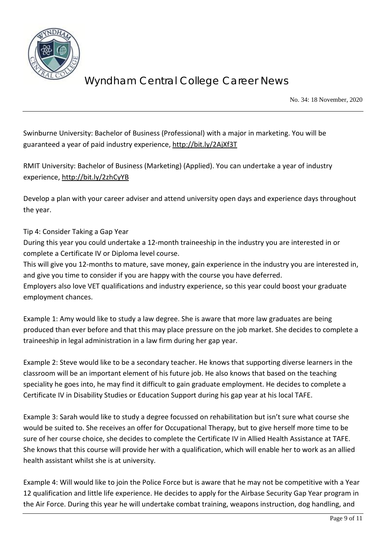

No. 34: 18 November, 2020

Swinburne University: Bachelor of Business (Professional) with a major in marketing. You will be guaranteed a year of paid industry experience,<http://bit.ly/2AjXf3T>

RMIT University: Bachelor of Business (Marketing) (Applied). You can undertake a year of industry experience,<http://bit.ly/2zhCyYB>

Develop a plan with your career adviser and attend university open days and experience days throughout the year.

#### Tip 4: Consider Taking a Gap Year

During this year you could undertake a 12-month traineeship in the industry you are interested in or complete a Certificate IV or Diploma level course.

This will give you 12-months to mature, save money, gain experience in the industry you are interested in, and give you time to consider if you are happy with the course you have deferred.

Employers also love VET qualifications and industry experience, so this year could boost your graduate employment chances.

Example 1: Amy would like to study a law degree. She is aware that more law graduates are being produced than ever before and that this may place pressure on the job market. She decides to complete a traineeship in legal administration in a law firm during her gap year.

Example 2: Steve would like to be a secondary teacher. He knows that supporting diverse learners in the classroom will be an important element of his future job. He also knows that based on the teaching speciality he goes into, he may find it difficult to gain graduate employment. He decides to complete a Certificate IV in Disability Studies or Education Support during his gap year at his local TAFE.

Example 3: Sarah would like to study a degree focussed on rehabilitation but isn't sure what course she would be suited to. She receives an offer for Occupational Therapy, but to give herself more time to be sure of her course choice, she decides to complete the Certificate IV in Allied Health Assistance at TAFE. She knows that this course will provide her with a qualification, which will enable her to work as an allied health assistant whilst she is at university.

Example 4: Will would like to join the Police Force but is aware that he may not be competitive with a Year 12 qualification and little life experience. He decides to apply for the Airbase Security Gap Year program in the Air Force. During this year he will undertake combat training, weapons instruction, dog handling, and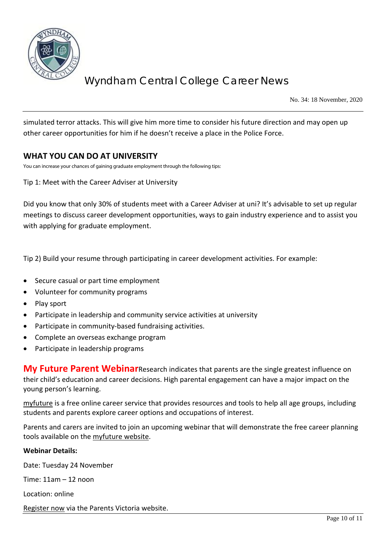

No. 34: 18 November, 2020

simulated terror attacks. This will give him more time to consider his future direction and may open up other career opportunities for him if he doesn't receive a place in the Police Force.

#### **WHAT YOU CAN DO AT UNIVERSITY**

You can increase your chances of gaining graduate employment through the following tips:

Tip 1: Meet with the Career Adviser at University

Did you know that only 30% of students meet with a Career Adviser at uni? It's advisable to set up regular meetings to discuss career development opportunities, ways to gain industry experience and to assist you with applying for graduate employment.

Tip 2) Build your resume through participating in career development activities. For example:

- Secure casual or part time employment
- Volunteer for community programs
- Play sport
- Participate in leadership and community service activities at university
- Participate in community-based fundraising activities.
- Complete an overseas exchange program
- Participate in leadership programs

**My Future Parent Webinar**Research indicates that parents are the single greatest influence on their child's education and career decisions. High parental engagement can have a major impact on the young person's learning.

[myfuture](https://myfuture.edu.au/) is a free online career service that provides resources and tools to help all age groups, including students and parents explore career options and occupations of interest.

Parents and carers are invited to join an upcoming webinar that will demonstrate the free career planning tools available on the [myfuture](https://myfuture.edu.au/) [website.](https://myfuture.edu.au/home)

#### **Webinar Details:**

Date: Tuesday 24 November

Time: 11am – 12 noon

Location: online

[Register now](https://www.parentsvictoria.asn.au/48-news/latest-news/836-careers-webinar) via the Parents Victoria website.